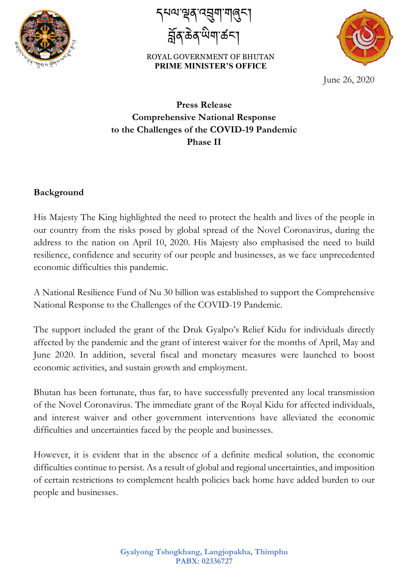

 $\overline{\phantom{a}}$ |ଧଧ"଼ିଅବ୍'ୟସ୍ପ୍ୟା'শ୍ରବ୍ୟ| བོན་ཆན་ཡག་ཚང་།

ROYAL GOVERNMENT OF BHUTAN PRIME MINISTER'S OFFICE<br>
June 26, 2020



## **Press Release Comprehensive National Response to the Challenges of the COVID-19 Pandemic Phase II**

#### **Background**

His Majesty The King highlighted the need to protect the health and lives of the people in our country from the risks posed by global spread of the Novel Coronavirus, during the address to the nation on April 10, 2020. His Majesty also emphasised the need to build resilience, confidence and security of our people and businesses, as we face unprecedented economic difficulties this pandemic.

A National Resilience Fund of Nu 30 billion was established to support the Comprehensive National Response to the Challenges of the COVID-19 Pandemic.

The support included the grant of the Druk Gyalpo's Relief Kidu for individuals directly affected by the pandemic and the grant of interest waiver for the months of April, May and June 2020. In addition, several fiscal and monetary measures were launched to boost economic activities, and sustain growth and employment.

Bhutan has been fortunate, thus far, to have successfully prevented any local transmission of the Novel Coronavirus. The immediate grant of the Royal Kidu for affected individuals, and interest waiver and other government interventions have alleviated the economic difficulties and uncertainties faced by the people and businesses.

However, it is evident that in the absence of a definite medical solution, the economic difficulties continue to persist. As a result of global and regional uncertainties, and imposition of certain restrictions to complement health policies back home have added burden to our people and businesses.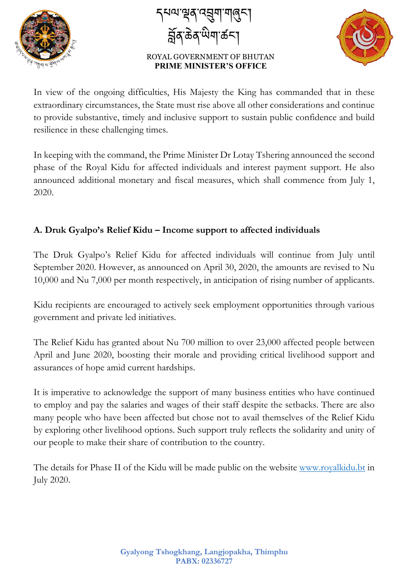

 $\overline{\phantom{a}}$ |ଧଧ"଼ିଅବ୍'ୟସ୍ପ୍ୟା'শ୍ରବ୍ୟ| བོན་ཆན་ཡག་ཚང་།



In view of the ongoing difficulties, His Majesty the King has commanded that in these extraordinary circumstances, the State must rise above all other considerations and continue to provide substantive, timely and inclusive support to sustain public confidence and build resilience in these challenging times.

In keeping with the command, the Prime Minister Dr Lotay Tshering announced the second phase of the Royal Kidu for affected individuals and interest payment support. He also announced additional monetary and fiscal measures, which shall commence from July 1, 2020.

### **A. Druk Gyalpo's Relief Kidu – Income support to affected individuals**

The Druk Gyalpo's Relief Kidu for affected individuals will continue from July until September 2020. However, as announced on April 30, 2020, the amounts are revised to Nu 10,000 and Nu 7,000 per month respectively, in anticipation of rising number of applicants.

Kidu recipients are encouraged to actively seek employment opportunities through various government and private led initiatives.

The Relief Kidu has granted about Nu 700 million to over 23,000 affected people between April and June 2020, boosting their morale and providing critical livelihood support and assurances of hope amid current hardships.

It is imperative to acknowledge the support of many business entities who have continued to employ and pay the salaries and wages of their staff despite the setbacks. There are also many people who have been affected but chose not to avail themselves of the Relief Kidu by exploring other livelihood options. Such support truly reflects the solidarity and unity of our people to make their share of contribution to the country.

The details for Phase II of the Kidu will be made public on the website www.royalkidu.bt in July 2020.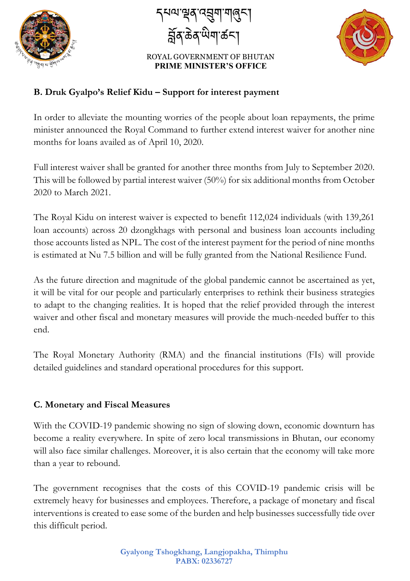

 $\overline{\phantom{a}}$ |ଧଧ"଼ିଅବ୍'ୟସ୍ପ୍ୟା'শ୍ରବ୍ୟ| བོན་ཆན་ཡག་ཚང་།



### **B. Druk Gyalpo's Relief Kidu – Support for interest payment**

In order to alleviate the mounting worries of the people about loan repayments, the prime minister announced the Royal Command to further extend interest waiver for another nine months for loans availed as of April 10, 2020.

Full interest waiver shall be granted for another three months from July to September 2020. This will be followed by partial interest waiver (50%) for six additional months from October 2020 to March 2021.

The Royal Kidu on interest waiver is expected to benefit 112,024 individuals (with 139,261 loan accounts) across 20 dzongkhags with personal and business loan accounts including those accounts listed as NPL. The cost of the interest payment for the period of nine months is estimated at Nu 7.5 billion and will be fully granted from the National Resilience Fund.

As the future direction and magnitude of the global pandemic cannot be ascertained as yet, it will be vital for our people and particularly enterprises to rethink their business strategies to adapt to the changing realities. It is hoped that the relief provided through the interest waiver and other fiscal and monetary measures will provide the much-needed buffer to this end.

The Royal Monetary Authority (RMA) and the financial institutions (FIs) will provide detailed guidelines and standard operational procedures for this support.

#### **C. Monetary and Fiscal Measures**

With the COVID-19 pandemic showing no sign of slowing down, economic downturn has become a reality everywhere. In spite of zero local transmissions in Bhutan, our economy will also face similar challenges. Moreover, it is also certain that the economy will take more than a year to rebound.

The government recognises that the costs of this COVID-19 pandemic crisis will be extremely heavy for businesses and employees. Therefore, a package of monetary and fiscal interventions is created to ease some of the burden and help businesses successfully tide over this difficult period.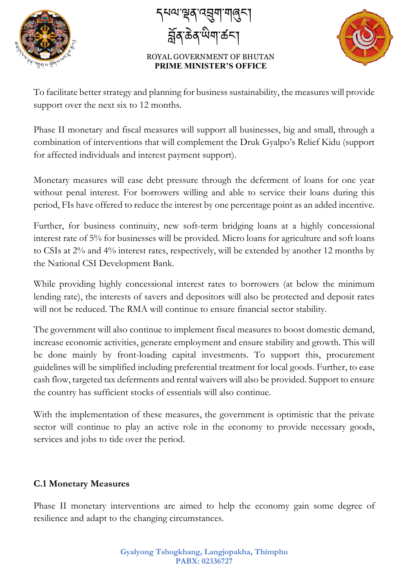

 $\overline{\phantom{a}}$ |ଧଧ"଼ିଅବ୍'ୟସ୍ପ୍ୟା'শ୍ରବ୍ୟ| བོན་ཆན་ཡག་ཚང་།



To facilitate better strategy and planning for business sustainability, the measures will provide support over the next six to 12 months.

Phase II monetary and fiscal measures will support all businesses, big and small, through a combination of interventions that will complement the Druk Gyalpo's Relief Kidu (support for affected individuals and interest payment support).

Monetary measures will ease debt pressure through the deferment of loans for one year without penal interest. For borrowers willing and able to service their loans during this period, FIs have offered to reduce the interest by one percentage point as an added incentive.

Further, for business continuity, new soft-term bridging loans at a highly concessional interest rate of 5% for businesses will be provided. Micro loans for agriculture and soft loans to CSIs at 2% and 4% interest rates, respectively, will be extended by another 12 months by the National CSI Development Bank.

While providing highly concessional interest rates to borrowers (at below the minimum lending rate), the interests of savers and depositors will also be protected and deposit rates will not be reduced. The RMA will continue to ensure financial sector stability.

The government will also continue to implement fiscal measures to boost domestic demand, increase economic activities, generate employment and ensure stability and growth. This will be done mainly by front-loading capital investments. To support this, procurement guidelines will be simplified including preferential treatment for local goods. Further, to ease cash flow, targeted tax deferments and rental waivers will also be provided. Support to ensure the country has sufficient stocks of essentials will also continue.

With the implementation of these measures, the government is optimistic that the private sector will continue to play an active role in the economy to provide necessary goods, services and jobs to tide over the period.

#### **C.1 Monetary Measures**

Phase II monetary interventions are aimed to help the economy gain some degree of resilience and adapt to the changing circumstances.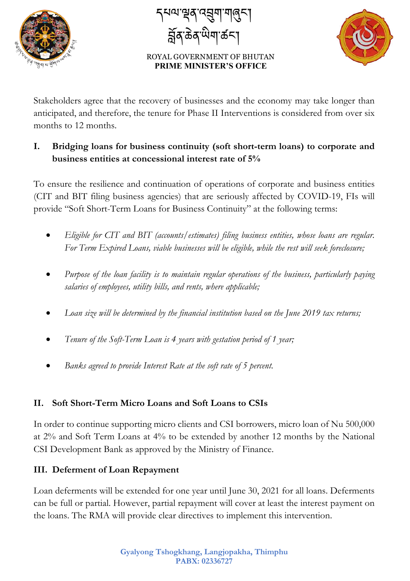

 $\overline{\phantom{a}}$ དཔལ་ལན་འབག་གཞང་། བོན་ཆན་ཡག་ཚང་།



Stakeholders agree that the recovery of businesses and the economy may take longer than anticipated, and therefore, the tenure for Phase II Interventions is considered from over six months to 12 months.

### **I. Bridging loans for business continuity (soft short-term loans) to corporate and business entities at concessional interest rate of 5%**

To ensure the resilience and continuation of operations of corporate and business entities (CIT and BIT filing business agencies) that are seriously affected by COVID-19, FIs will provide "Soft Short-Term Loans for Business Continuity" at the following terms:

- *Eligible for CIT and BIT (accounts/estimates) filing business entities, whose loans are regular. For Term Expired Loans, viable businesses will be eligible, while the rest will seek foreclosure;*
- *Purpose of the loan facility is to maintain regular operations of the business, particularly paying salaries of employees, utility bills, and rents, where applicable;*
- *Loan size will be determined by the financial institution based on the June 2019 tax returns;*
- *Tenure of the Soft-Term Loan is 4 years with gestation period of 1 year;*
- *Banks agreed to provide Interest Rate at the soft rate of 5 percent.*

## **II. Soft Short-Term Micro Loans and Soft Loans to CSIs**

In order to continue supporting micro clients and CSI borrowers, micro loan of Nu 500,000 at 2% and Soft Term Loans at 4% to be extended by another 12 months by the National CSI Development Bank as approved by the Ministry of Finance.

### **III. Deferment of Loan Repayment**

Loan deferments will be extended for one year until June 30, 2021 for all loans. Deferments can be full or partial. However, partial repayment will cover at least the interest payment on the loans. The RMA will provide clear directives to implement this intervention.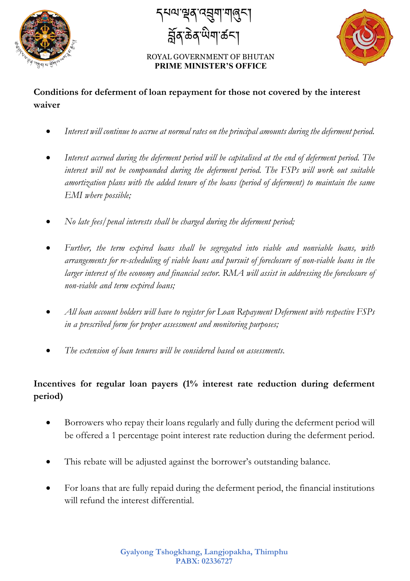

 $\overline{\phantom{a}}$ དཔལ་ལན་འབག་གཞང་། བོན་ཆན་ཡག་ཚང་།



### **Conditions for deferment of loan repayment for those not covered by the interest waiver**

- *Interest will continue to accrue at normal rates on the principal amounts during the deferment period.*
- *Interest accrued during the deferment period will be capitalised at the end of deferment period. The interest will not be compounded during the deferment period. The FSPs will work out suitable amortization plans with the added tenure of the loans (period of deferment) to maintain the same EMI where possible;*
- *No late fees/penal interests shall be charged during the deferment period;*
- *Further, the term expired loans shall be segregated into viable and nonviable loans, with arrangements for re-scheduling of viable loans and pursuit of foreclosure of non-viable loans in the larger interest of the economy and financial sector. RMA will assist in addressing the foreclosure of non-viable and term expired loans;*
- *All loan account holders will have to register for Loan Repayment Deferment with respective FSPs in a prescribed form for proper assessment and monitoring purposes;*
- *The extension of loan tenures will be considered based on assessments.*

### **Incentives for regular loan payers (1% interest rate reduction during deferment period)**

- Borrowers who repay their loans regularly and fully during the deferment period will be offered a 1 percentage point interest rate reduction during the deferment period.
- This rebate will be adjusted against the borrower's outstanding balance.
- For loans that are fully repaid during the deferment period, the financial institutions will refund the interest differential.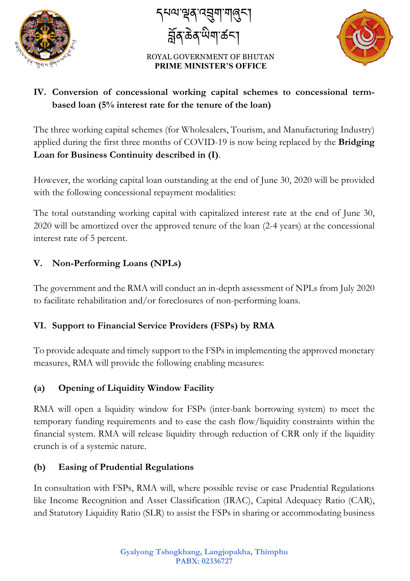

 $\overline{\phantom{a}}$ <sub>|</sub>ସନ୍ଧ'ଷ୍ଟବ୍'ମ୍ବଶ୍ମ'୩୍ଡବ୍ମ୍ བོན་ཆན་ཡག་ཚང་།



## **IV. Conversion of concessional working capital schemes to concessional termbased loan (5% interest rate for the tenure of the loan)**

The three working capital schemes (for Wholesalers, Tourism, and Manufacturing Industry) applied during the first three months of COVID-19 is now being replaced by the **Bridging Loan for Business Continuity described in (I)**.

However, the working capital loan outstanding at the end of June 30, 2020 will be provided with the following concessional repayment modalities:

The total outstanding working capital with capitalized interest rate at the end of June 30, 2020 will be amortized over the approved tenure of the loan (2-4 years) at the concessional interest rate of 5 percent.

## **V. Non-Performing Loans (NPLs)**

The government and the RMA will conduct an in-depth assessment of NPLs from July 2020 to facilitate rehabilitation and/or foreclosures of non-performing loans.

## **VI. Support to Financial Service Providers (FSPs) by RMA**

To provide adequate and timely support to the FSPs in implementing the approved monetary measures, RMA will provide the following enabling measures:

### **(a) Opening of Liquidity Window Facility**

RMA will open a liquidity window for FSPs (inter-bank borrowing system) to meet the temporary funding requirements and to ease the cash flow/liquidity constraints within the financial system. RMA will release liquidity through reduction of CRR only if the liquidity crunch is of a systemic nature.

### **(b) Easing of Prudential Regulations**

In consultation with FSPs, RMA will, where possible revise or ease Prudential Regulations like Income Recognition and Asset Classification (IRAC), Capital Adequacy Ratio (CAR), and Statutory Liquidity Ratio (SLR) to assist the FSPs in sharing or accommodating business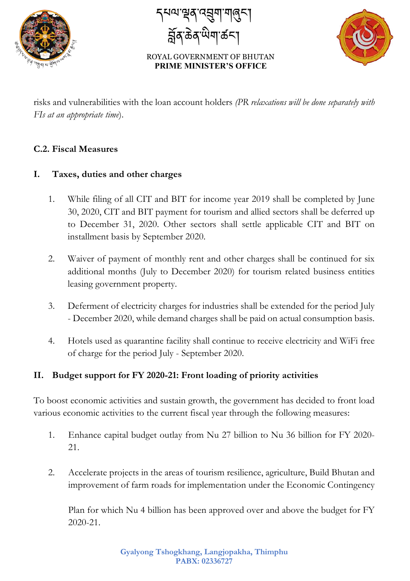

 $\overline{\phantom{a}}$ ५०'भूष्'व्ह्या'गलुन्। བོན་ཆན་ཡག་ཚང་།



risks and vulnerabilities with the loan account holders *(PR relaxations will be done separately with FIs at an appropriate time*).

#### **C.2. Fiscal Measures**

#### **I. Taxes, duties and other charges**

- 1. While filing of all CIT and BIT for income year 2019 shall be completed by June 30, 2020, CIT and BIT payment for tourism and allied sectors shall be deferred up to December 31, 2020. Other sectors shall settle applicable CIT and BIT on installment basis by September 2020.
- 2. Waiver of payment of monthly rent and other charges shall be continued for six additional months (July to December 2020) for tourism related business entities leasing government property.
- 3. Deferment of electricity charges for industries shall be extended for the period July - December 2020, while demand charges shall be paid on actual consumption basis.
- 4. Hotels used as quarantine facility shall continue to receive electricity and WiFi free of charge for the period July - September 2020.

#### **II. Budget support for FY 2020-21: Front loading of priority activities**

To boost economic activities and sustain growth, the government has decided to front load various economic activities to the current fiscal year through the following measures:

- 1. Enhance capital budget outlay from Nu 27 billion to Nu 36 billion for FY 2020- 21.
- 2. Accelerate projects in the areas of tourism resilience, agriculture, Build Bhutan and improvement of farm roads for implementation under the Economic Contingency

Plan for which Nu 4 billion has been approved over and above the budget for FY 2020-21.